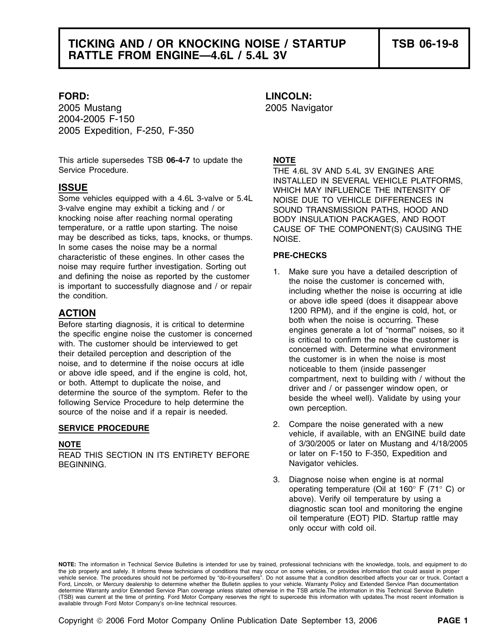2005 Mustang 2005 Navigator 2004-2005 F-150 2005 Expedition, F-250, F-350

This article supersedes TSB **06-4-7** to update the **NOTE** Service Procedure. THE 4.6L 3V AND 5.4L 3V ENGINES ARE

Some vehicles equipped with a 4.6L 3-valve or 5.4L NOISE DUE TO VEHICLE DIFFERENCES IN 3-valve engine may exhibit a ticking and / or SOUND TRANSMISSION PATHS, HOOD AND<br>SOUND TRANSMISSION PATHS, HOOD AND ROOT knocking noise after reaching normal operating The BODY INSULATION PACKAGES, AND ROOT<br>The remperature, or a rattle upon starting. The noise The CAUSE OF THE COMPONENT(S) CAUSING may be described as ticks, taps, knocks, or thumps.  $NOISE$ In some cases the noise may be a normal characteristic of these engines. In other cases the **PRE-CHECKS**  noise may require further investigation. Sorting out<br>and defining the noise as reported by the customer<br>is important to successfully diagnose and / or repair<br>the condition.<br>the condition.<br>or above idle speed (does it disap

Before starting diagnosis, it is critical to determine<br>the specific engine noise the customer is concerned<br>with. The customer should be interviewed to get<br>their detailed perception and description of the<br>noise, and to dete

BEGINNING. Navigator vehicles.

**FORD: LINCOLN:**

INSTALLED IN SEVERAL VEHICLE PLATFORMS, **ISSUE** WHICH MAY INFLUENCE THE INTENSITY OF CAUSE OF THE COMPONENT(S) CAUSING THE

- **ACTION** 1200 RPM), and if the engine is cold, hot, or<br>**Refere starting diagnosis** it is exiting the determine both when the noise is occurring. These
- 2. Compare the noise generated with a new **SERVICE PROCEDURE** vehicle, if available, with an ENGINE build date **NOTE of 3/30/2005 or later on Mustang and 4/18/2005** READ THIS SECTION IN ITS ENTIRETY BEFORE or later on F-150 to F-350, Expedition and
	- 3. Diagnose noise when engine is at normal operating temperature (Oil at 160° F (71° C) or above). Verify oil temperature by using a diagnostic scan tool and monitoring the engine oil temperature (EOT) PID. Startup rattle may only occur with cold oil.

**NOTE:** The information in Technical Service Bulletins is intended for use by trained, professional technicians with the knowledge, tools, and equipment to do the job properly and safely. It informs these technicians of conditions that may occur on some vehicles, or provides information that could assist in proper vehicle service. The procedures should not be performed by "do-it-yourselfers". Do not assume that a condition described affects your car or truck. Contact a Ford, Lincoln, or Mercury dealership to determine whether the Bulletin applies to your vehicle. Warranty Policy and Extended Service Plan documentation determine Warranty and/or Extended Service Plan coverage unless stated otherwise in the TSB article.The information in this Technical Service Bulletin (TSB) was current at the time of printing. Ford Motor Company reserves the right to supercede this information with updates.The most recent information is available through Ford Motor Company's on-line technical resources.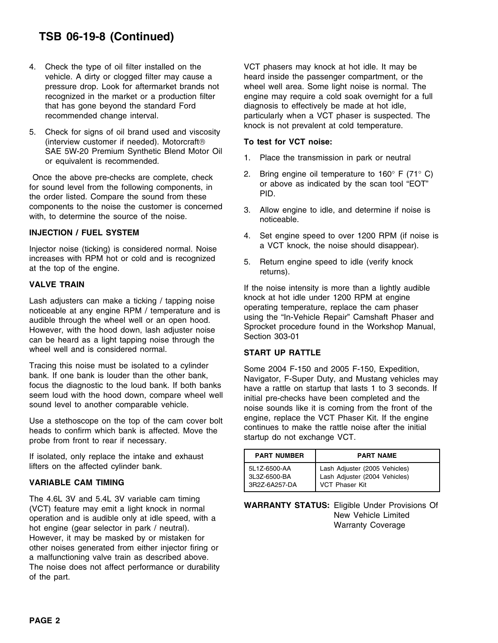## **TSB 06-19-8 (Continued)**

- 4. Check the type of oil filter installed on the VCT phasers may knock at hot idle. It may be that has gone beyond the standard Ford diagnosis to effectively be made at hot idle,
- knock is not prevalent at cold temperature. 5. Check for signs of oil brand used and viscosity (interview customer if needed). Motorcraft **To test for VCT noise:** SAE 5W-20 Premium Synthetic Blend Motor Oil 1. Place the transmission in park or neutral or equivalent is recommended.

Once the above pre-checks are complete, check<br>for sound level from the following components, in<br>the order listed. Compare the sound from these<br>components to the noise the customer is concerned<br>a allow engine to idea and d

increases with RPM hot or cold and is recognized 5. Return engine speed to idle (verify knock at the top of the engine.

Lash adjusters can make a ticking / tapping noise indice able at any engine RPM / temperature and is noticeable at any engine RPM / temperature and is audible through the wheel well or an open hood. However, with the hood wheel well and is considered normal. **START UP RATTLE** 

probe from front to rear if necessary.

If isolated, only replace the intake and exhaust lifters on the affected cylinder bank.

## **VARIABLE CAM TIMING**

The 4.6L 3V and 5.4L 3V variable cam timing<br>(VCT) feature may emit a light knock in normal<br>operation and is audible only at idle speed, with a<br>hot engine (gear selector in park / neutral).<br>Warranty Coverage<br>Warranty Covera However, it may be masked by or mistaken for other noises generated from either injector firing or a malfunctioning valve train as described above. The noise does not affect performance or durability of the part.

vehicle. A dirty or clogged filter may cause a heard inside the passenger compartment, or the pressure drop. Look for aftermarket brands not wheel well area. Some light noise is normal. The recognized in the market or a production filter engine may require a cold soak overnight for a full recommended change interval. **particularly when a VCT phaser is suspected.** The

- 
- 
- components to the noise the customer is concerned 3. Allow engine to idle, and determine if noise is with, to determine the source of the noise.
- **INJECTION / FUEL SYSTEM** 4. Set engine speed to over 1200 RPM (if noise is Injector noise (ticking) is considered normal. Noise a VCT knock, the noise should disappear).
	-

**VALVE TRAIN If the noise intensity is more than a lightly audible** 

Tracing this noise must be isolated to a cylinder<br>bank. If one bank is louder than the other bank,<br>focus the diagnostic to the loud bank. If both banks<br>seem loud with the hood down, compare wheel well<br>sound level to anothe Use a stethoscope on the top of the cam cover bolt<br>heads to continues to make the rattle noise after the initial<br>neads to continues to make the rattle noise after the initial<br>startup do not exchange VCT.

| <b>PART NUMBER</b> | <b>PART NAME</b>              |
|--------------------|-------------------------------|
| 5L1Z-6500-AA       | Lash Adjuster (2005 Vehicles) |
| 3L3Z-6500-BA       | Lash Adjuster (2004 Vehicles) |
| 3R2Z-6A257-DA      | VCT Phaser Kit                |